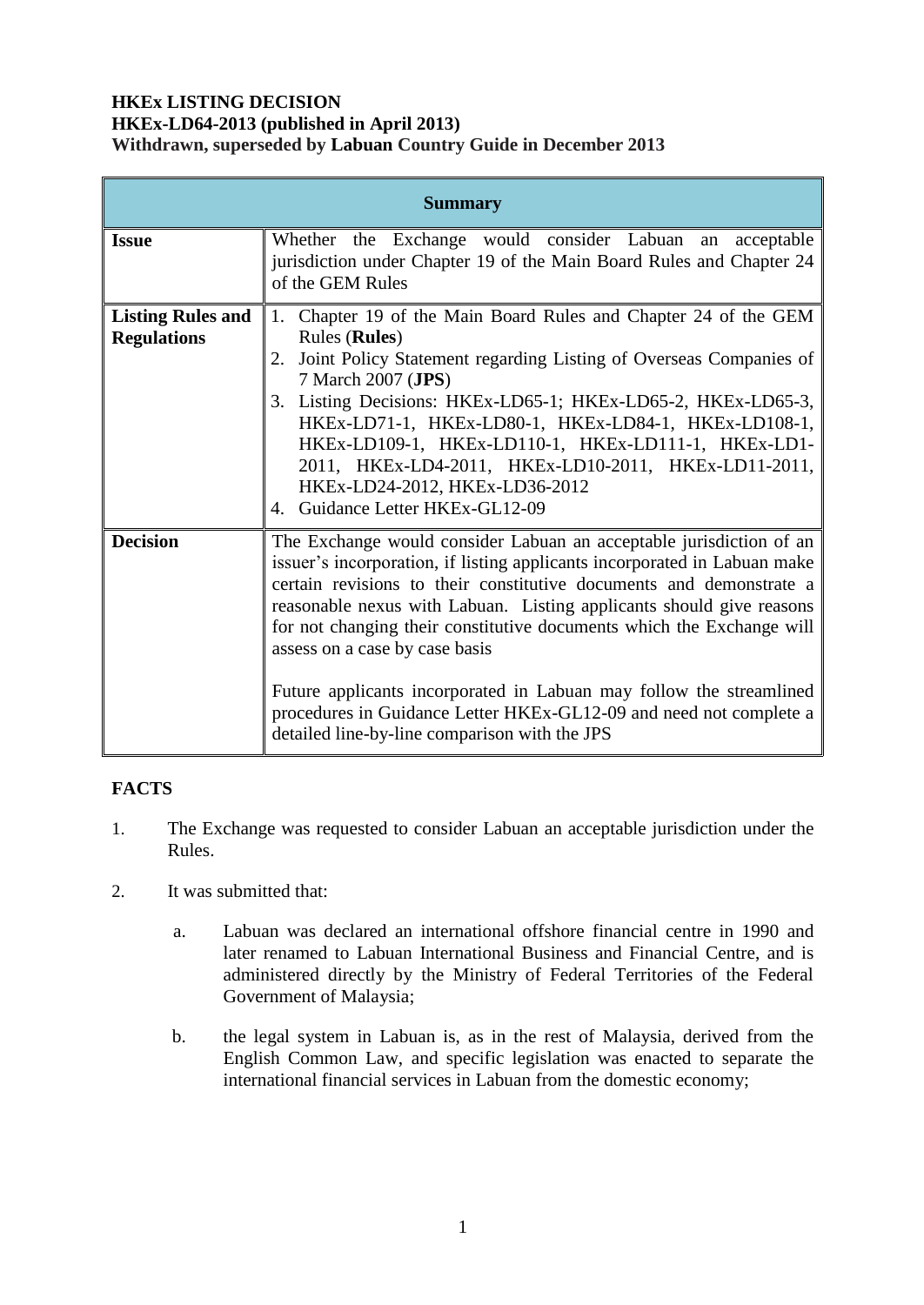### **HKEx LISTING DECISION HKEx-LD64-2013 (published in April 2013) Withdrawn, superseded by Labuan Country Guide in December 2013**

| <b>Summary</b>                                 |                                                                                                                                                                                                                                                                                                                                                                                                                                                                                                                                                                                                          |  |  |  |
|------------------------------------------------|----------------------------------------------------------------------------------------------------------------------------------------------------------------------------------------------------------------------------------------------------------------------------------------------------------------------------------------------------------------------------------------------------------------------------------------------------------------------------------------------------------------------------------------------------------------------------------------------------------|--|--|--|
| <b>Issue</b>                                   | Whether the Exchange would consider Labuan an<br>acceptable<br>jurisdiction under Chapter 19 of the Main Board Rules and Chapter 24<br>of the GEM Rules                                                                                                                                                                                                                                                                                                                                                                                                                                                  |  |  |  |
| <b>Listing Rules and</b><br><b>Regulations</b> | Chapter 19 of the Main Board Rules and Chapter 24 of the GEM<br>1.<br><b>Rules</b> ( <b>Rules</b> )<br>Joint Policy Statement regarding Listing of Overseas Companies of<br>2.<br>7 March 2007 (JPS)<br>3. Listing Decisions: HKEx-LD65-1; HKEx-LD65-2, HKEx-LD65-3,<br>HKEx-LD71-1, HKEx-LD80-1, HKEx-LD84-1, HKEx-LD108-1,<br>HKEx-LD109-1, HKEx-LD110-1, HKEx-LD111-1, HKEx-LD1-<br>2011, HKEx-LD4-2011, HKEx-LD10-2011, HKEx-LD11-2011,<br>HKEx-LD24-2012, HKEx-LD36-2012<br>4. Guidance Letter HKEx-GL12-09                                                                                         |  |  |  |
| <b>Decision</b>                                | The Exchange would consider Labuan an acceptable jurisdiction of an<br>issuer's incorporation, if listing applicants incorporated in Labuan make<br>certain revisions to their constitutive documents and demonstrate a<br>reasonable nexus with Labuan. Listing applicants should give reasons<br>for not changing their constitutive documents which the Exchange will<br>assess on a case by case basis<br>Future applicants incorporated in Labuan may follow the streamlined<br>procedures in Guidance Letter HKEx-GL12-09 and need not complete a<br>detailed line-by-line comparison with the JPS |  |  |  |

# **FACTS**

- 1. The Exchange was requested to consider Labuan an acceptable jurisdiction under the Rules.
- 2. It was submitted that:
	- a. Labuan was declared an international offshore financial centre in 1990 and later renamed to Labuan International Business and Financial Centre, and is administered directly by the Ministry of Federal Territories of the Federal Government of Malaysia;
	- b. the legal system in Labuan is, as in the rest of Malaysia, derived from the English Common Law, and specific legislation was enacted to separate the international financial services in Labuan from the domestic economy;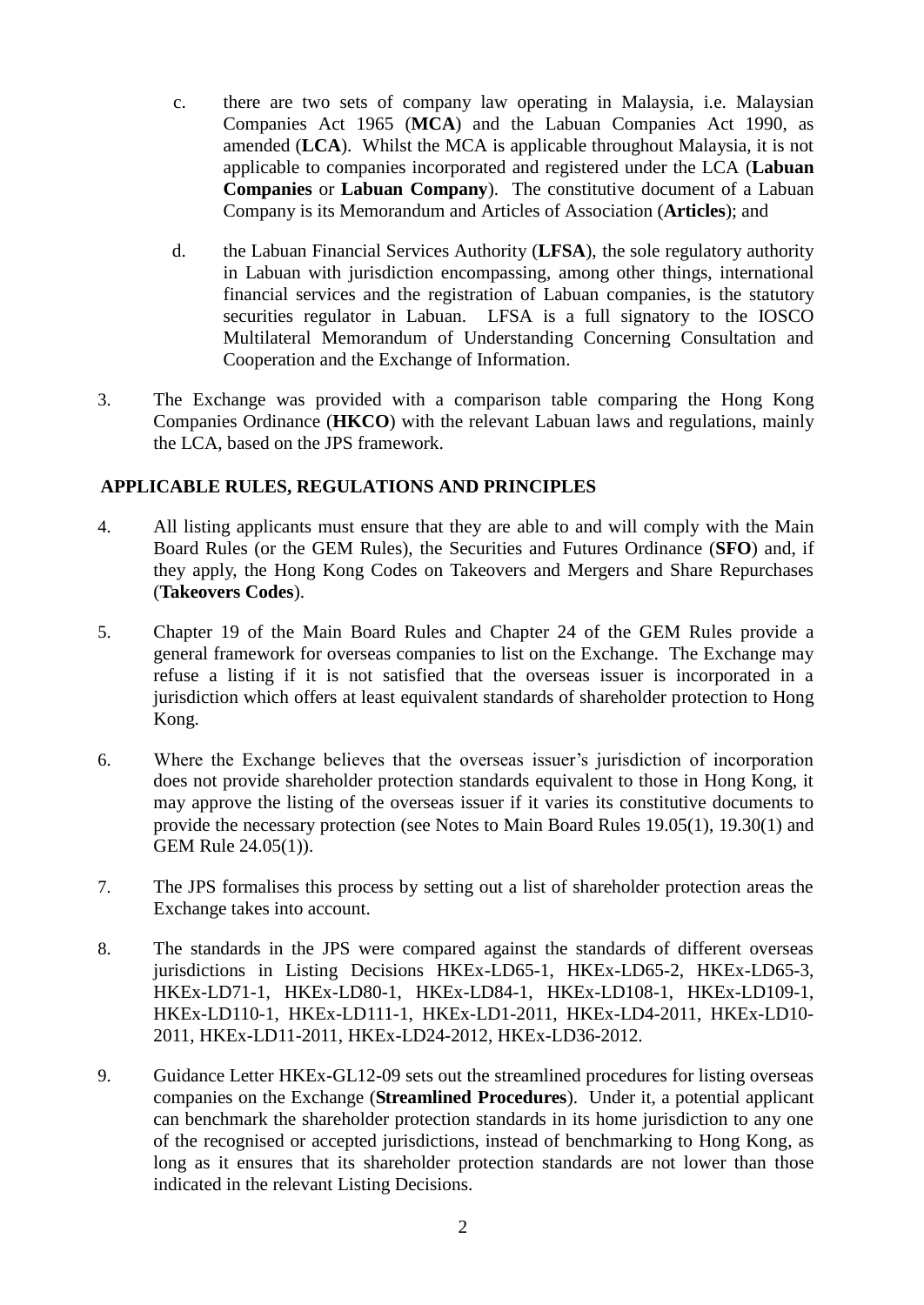- c. there are two sets of company law operating in Malaysia, i.e. Malaysian Companies Act 1965 (**MCA**) and the Labuan Companies Act 1990, as amended (**LCA**). Whilst the MCA is applicable throughout Malaysia, it is not applicable to companies incorporated and registered under the LCA (**Labuan Companies** or **Labuan Company**). The constitutive document of a Labuan Company is its Memorandum and Articles of Association (**Articles**); and
- d. the Labuan Financial Services Authority (**LFSA**), the sole regulatory authority in Labuan with jurisdiction encompassing, among other things, international financial services and the registration of Labuan companies, is the statutory securities regulator in Labuan. LFSA is a full signatory to the IOSCO Multilateral Memorandum of Understanding Concerning Consultation and Cooperation and the Exchange of Information.
- 3. The Exchange was provided with a comparison table comparing the Hong Kong Companies Ordinance (**HKCO**) with the relevant Labuan laws and regulations, mainly the LCA, based on the JPS framework.

## **APPLICABLE RULES, REGULATIONS AND PRINCIPLES**

- 4. All listing applicants must ensure that they are able to and will comply with the Main Board Rules (or the GEM Rules), the Securities and Futures Ordinance (**SFO**) and, if they apply, the Hong Kong Codes on Takeovers and Mergers and Share Repurchases (**Takeovers Codes**).
- 5. Chapter 19 of the Main Board Rules and Chapter 24 of the GEM Rules provide a general framework for overseas companies to list on the Exchange. The Exchange may refuse a listing if it is not satisfied that the overseas issuer is incorporated in a jurisdiction which offers at least equivalent standards of shareholder protection to Hong Kong.
- 6. Where the Exchange believes that the overseas issuer's jurisdiction of incorporation does not provide shareholder protection standards equivalent to those in Hong Kong, it may approve the listing of the overseas issuer if it varies its constitutive documents to provide the necessary protection (see Notes to Main Board Rules 19.05(1), 19.30(1) and GEM Rule 24.05(1)).
- 7. The JPS formalises this process by setting out a list of shareholder protection areas the Exchange takes into account.
- 8. The standards in the JPS were compared against the standards of different overseas jurisdictions in Listing Decisions HKEx-LD65-1, HKEx-LD65-2, HKEx-LD65-3, HKEx-LD71-1, HKEx-LD80-1, HKEx-LD84-1, HKEx-LD108-1, HKEx-LD109-1, HKEx-LD110-1, HKEx-LD111-1, HKEx-LD1-2011, HKEx-LD4-2011, HKEx-LD10- 2011, HKEx-LD11-2011, HKEx-LD24-2012, HKEx-LD36-2012.
- 9. Guidance Letter HKEx-GL12-09 sets out the streamlined procedures for listing overseas companies on the Exchange (**Streamlined Procedures**). Under it, a potential applicant can benchmark the shareholder protection standards in its home jurisdiction to any one of the recognised or accepted jurisdictions, instead of benchmarking to Hong Kong, as long as it ensures that its shareholder protection standards are not lower than those indicated in the relevant Listing Decisions.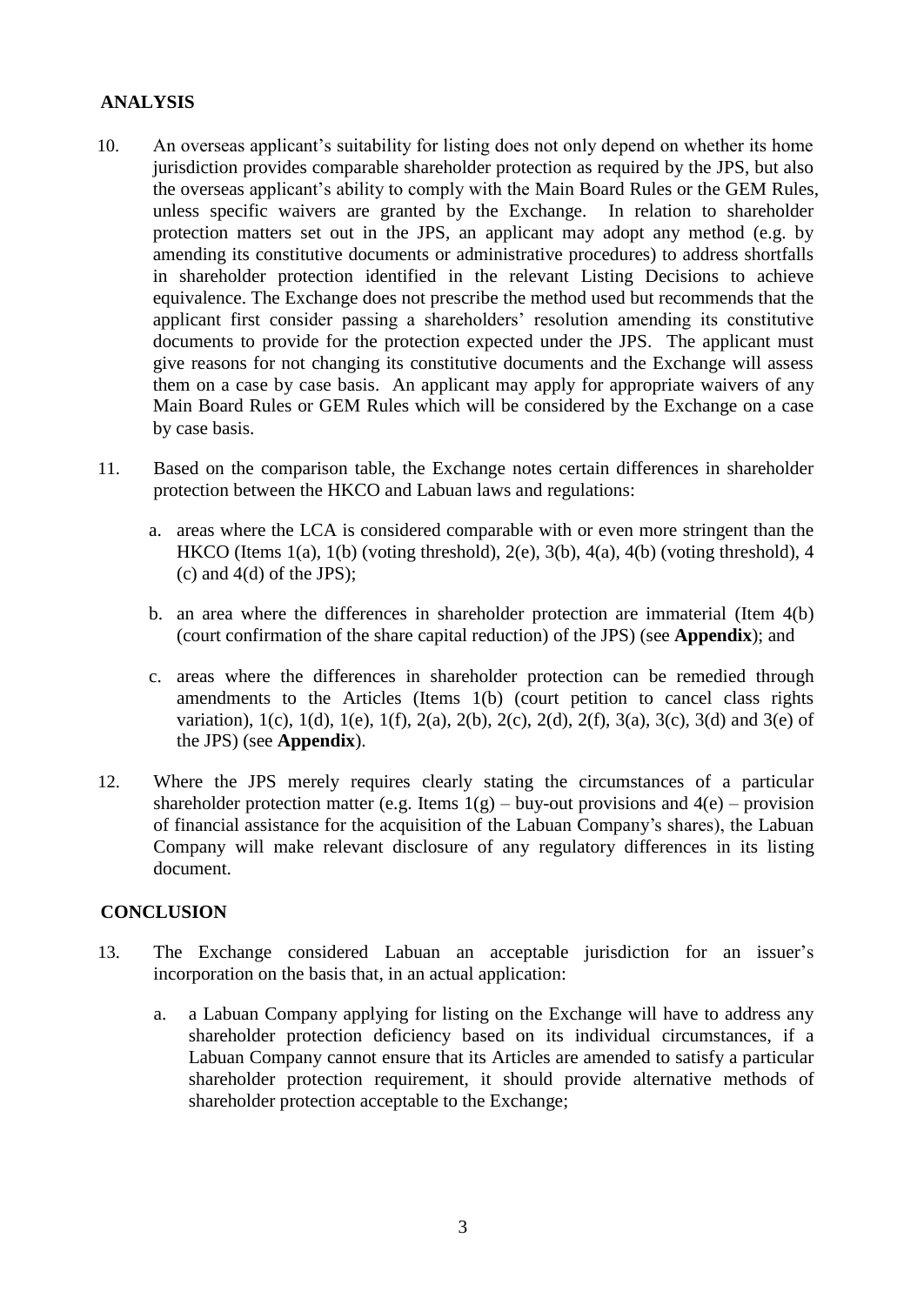# **ANALYSIS**

- 10. An overseas applicant's suitability for listing does not only depend on whether its home jurisdiction provides comparable shareholder protection as required by the JPS, but also the overseas applicant's ability to comply with the Main Board Rules or the GEM Rules, unless specific waivers are granted by the Exchange. In relation to shareholder protection matters set out in the JPS, an applicant may adopt any method (e.g. by amending its constitutive documents or administrative procedures) to address shortfalls in shareholder protection identified in the relevant Listing Decisions to achieve equivalence. The Exchange does not prescribe the method used but recommends that the applicant first consider passing a shareholders' resolution amending its constitutive documents to provide for the protection expected under the JPS. The applicant must give reasons for not changing its constitutive documents and the Exchange will assess them on a case by case basis. An applicant may apply for appropriate waivers of any Main Board Rules or GEM Rules which will be considered by the Exchange on a case by case basis.
- 11. Based on the comparison table, the Exchange notes certain differences in shareholder protection between the HKCO and Labuan laws and regulations:
	- a. areas where the LCA is considered comparable with or even more stringent than the HKCO (Items  $1(a)$ ,  $1(b)$  (voting threshold),  $2(e)$ ,  $3(b)$ ,  $4(a)$ ,  $4(b)$  (voting threshold),  $4$ (c) and 4(d) of the JPS);
	- b. an area where the differences in shareholder protection are immaterial (Item 4(b) (court confirmation of the share capital reduction) of the JPS) (see **Appendix**); and
	- c. areas where the differences in shareholder protection can be remedied through amendments to the Articles (Items 1(b) (court petition to cancel class rights variation), 1(c), 1(d), 1(e), 1(f), 2(a), 2(b), 2(c), 2(d), 2(f), 3(a), 3(c), 3(d) and 3(e) of the JPS) (see **Appendix**).
- 12. Where the JPS merely requires clearly stating the circumstances of a particular shareholder protection matter (e.g. Items  $1(g)$  – buy-out provisions and  $4(e)$  – provision of financial assistance for the acquisition of the Labuan Company's shares), the Labuan Company will make relevant disclosure of any regulatory differences in its listing document.

#### **CONCLUSION**

- 13. The Exchange considered Labuan an acceptable jurisdiction for an issuer's incorporation on the basis that, in an actual application:
	- a. a Labuan Company applying for listing on the Exchange will have to address any shareholder protection deficiency based on its individual circumstances, if a Labuan Company cannot ensure that its Articles are amended to satisfy a particular shareholder protection requirement, it should provide alternative methods of shareholder protection acceptable to the Exchange;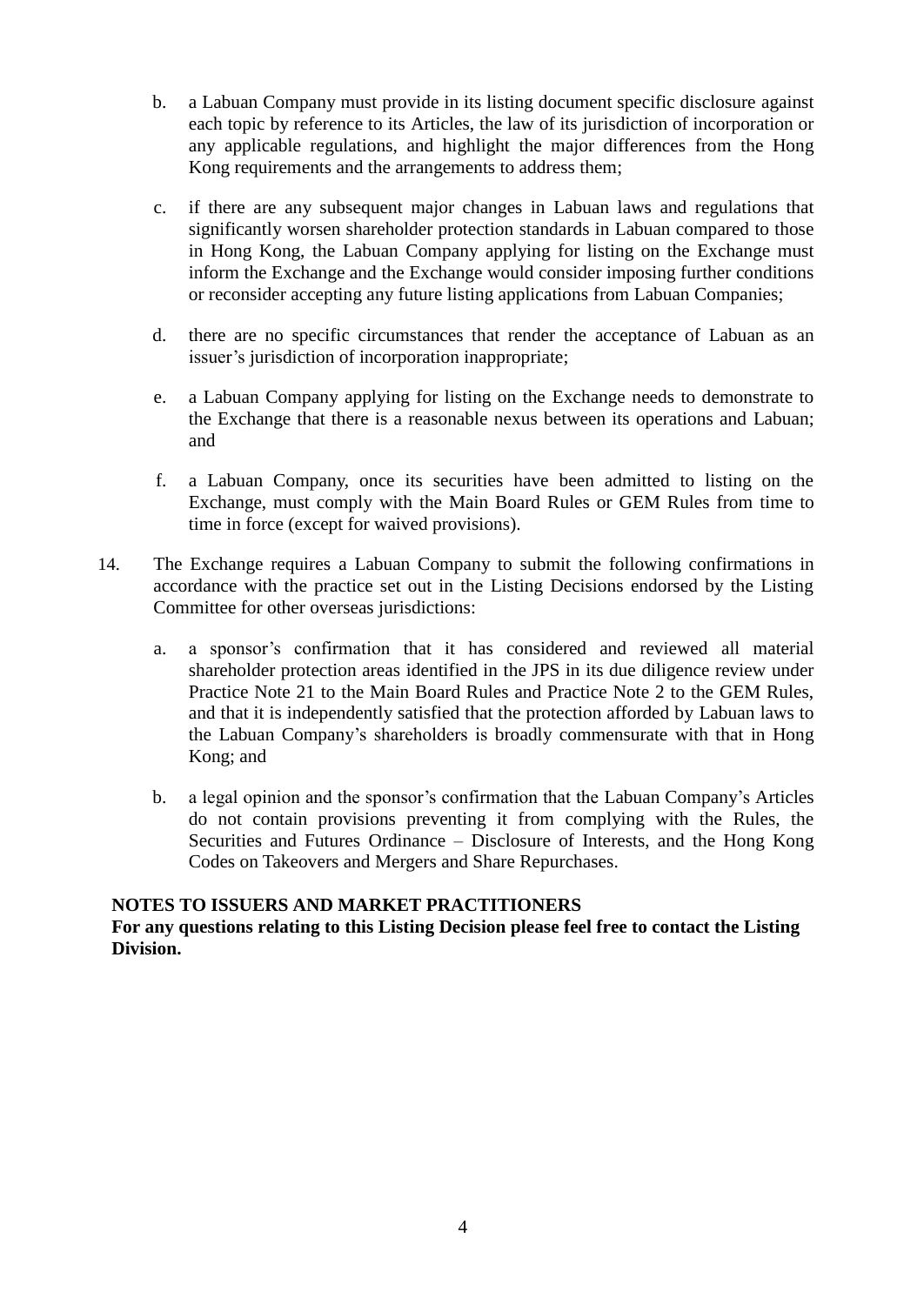- b. a Labuan Company must provide in its listing document specific disclosure against each topic by reference to its Articles, the law of its jurisdiction of incorporation or any applicable regulations, and highlight the major differences from the Hong Kong requirements and the arrangements to address them;
- c. if there are any subsequent major changes in Labuan laws and regulations that significantly worsen shareholder protection standards in Labuan compared to those in Hong Kong, the Labuan Company applying for listing on the Exchange must inform the Exchange and the Exchange would consider imposing further conditions or reconsider accepting any future listing applications from Labuan Companies;
- d. there are no specific circumstances that render the acceptance of Labuan as an issuer's jurisdiction of incorporation inappropriate;
- e. a Labuan Company applying for listing on the Exchange needs to demonstrate to the Exchange that there is a reasonable nexus between its operations and Labuan; and
- f. a Labuan Company, once its securities have been admitted to listing on the Exchange, must comply with the Main Board Rules or GEM Rules from time to time in force (except for waived provisions).
- 14. The Exchange requires a Labuan Company to submit the following confirmations in accordance with the practice set out in the Listing Decisions endorsed by the Listing Committee for other overseas jurisdictions:
	- a. a sponsor's confirmation that it has considered and reviewed all material shareholder protection areas identified in the JPS in its due diligence review under Practice Note 21 to the Main Board Rules and Practice Note 2 to the GEM Rules, and that it is independently satisfied that the protection afforded by Labuan laws to the Labuan Company's shareholders is broadly commensurate with that in Hong Kong; and
	- b. a legal opinion and the sponsor's confirmation that the Labuan Company's Articles do not contain provisions preventing it from complying with the Rules, the Securities and Futures Ordinance – Disclosure of Interests, and the Hong Kong Codes on Takeovers and Mergers and Share Repurchases.

#### **NOTES TO ISSUERS AND MARKET PRACTITIONERS**

#### **For any questions relating to this Listing Decision please feel free to contact the Listing Division.**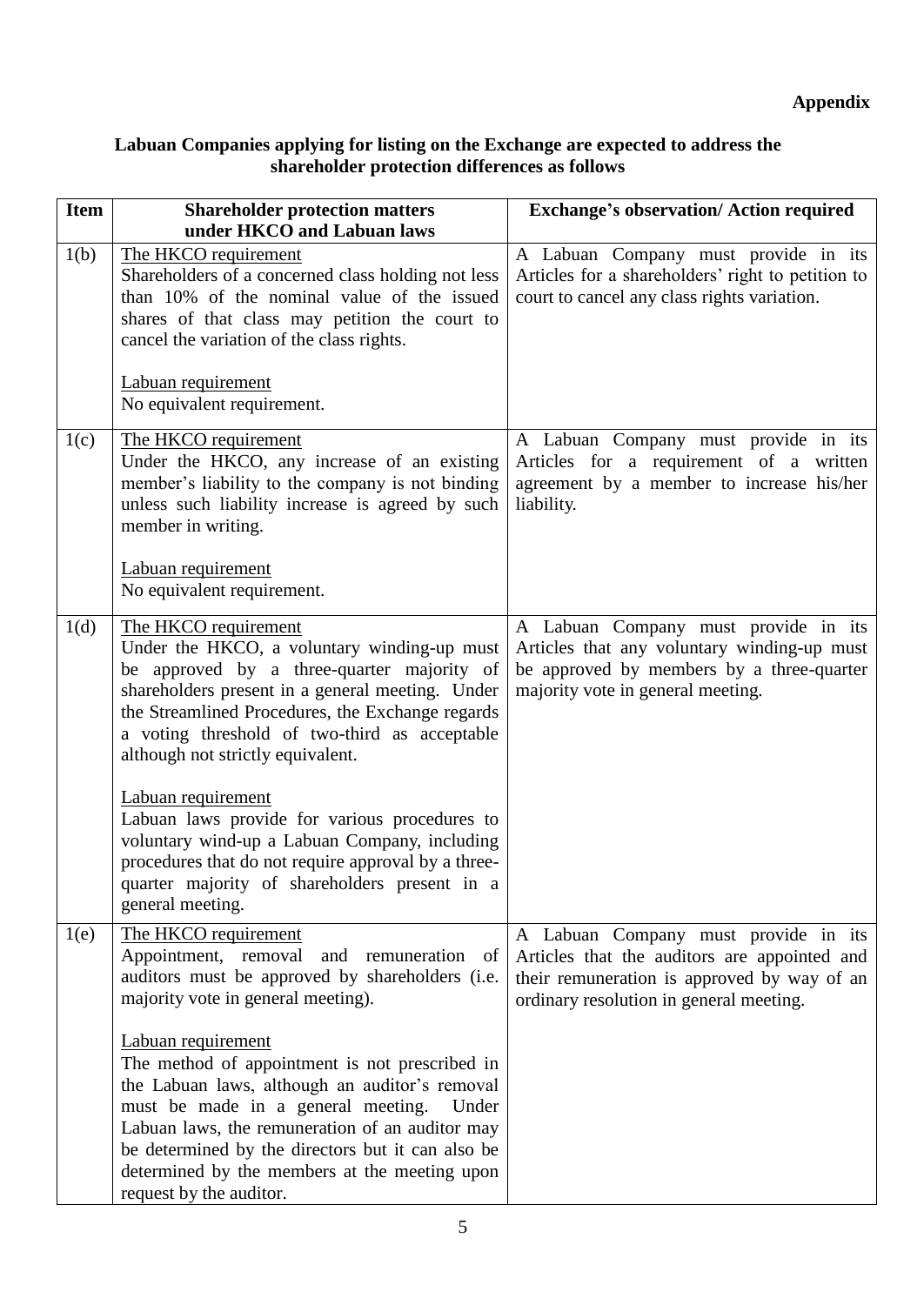### **Labuan Companies applying for listing on the Exchange are expected to address the shareholder protection differences as follows**

| <b>Item</b> | <b>Shareholder protection matters</b><br>under HKCO and Labuan laws                                                                                                                                                                                                                                                                                                                                                                                                                                                                                                 | <b>Exchange's observation/ Action required</b>                                                                                                                                 |
|-------------|---------------------------------------------------------------------------------------------------------------------------------------------------------------------------------------------------------------------------------------------------------------------------------------------------------------------------------------------------------------------------------------------------------------------------------------------------------------------------------------------------------------------------------------------------------------------|--------------------------------------------------------------------------------------------------------------------------------------------------------------------------------|
| 1(b)        | The HKCO requirement<br>Shareholders of a concerned class holding not less<br>than 10% of the nominal value of the issued<br>shares of that class may petition the court to<br>cancel the variation of the class rights.<br>Labuan requirement<br>No equivalent requirement.                                                                                                                                                                                                                                                                                        | A Labuan Company must provide in its<br>Articles for a shareholders' right to petition to<br>court to cancel any class rights variation.                                       |
| 1(c)        | The HKCO requirement<br>Under the HKCO, any increase of an existing<br>member's liability to the company is not binding<br>unless such liability increase is agreed by such<br>member in writing.<br>Labuan requirement<br>No equivalent requirement.                                                                                                                                                                                                                                                                                                               | A Labuan Company must provide in its<br>Articles for a requirement of a written<br>agreement by a member to increase his/her<br>liability.                                     |
| 1(d)        | The HKCO requirement<br>Under the HKCO, a voluntary winding-up must<br>be approved by a three-quarter majority of<br>shareholders present in a general meeting. Under<br>the Streamlined Procedures, the Exchange regards<br>a voting threshold of two-third as acceptable<br>although not strictly equivalent.<br>Labuan requirement<br>Labuan laws provide for various procedures to<br>voluntary wind-up a Labuan Company, including<br>procedures that do not require approval by a three-<br>quarter majority of shareholders present in a<br>general meeting. | A Labuan Company must provide in its<br>Articles that any voluntary winding-up must<br>be approved by members by a three-quarter<br>majority vote in general meeting.          |
| 1(e)        | The HKCO requirement<br>Appointment, removal<br>and remuneration of<br>auditors must be approved by shareholders (i.e.<br>majority vote in general meeting).<br>Labuan requirement<br>The method of appointment is not prescribed in<br>the Labuan laws, although an auditor's removal<br>must be made in a general meeting.<br>Under<br>Labuan laws, the remuneration of an auditor may<br>be determined by the directors but it can also be<br>determined by the members at the meeting upon<br>request by the auditor.                                           | A Labuan Company must provide in its<br>Articles that the auditors are appointed and<br>their remuneration is approved by way of an<br>ordinary resolution in general meeting. |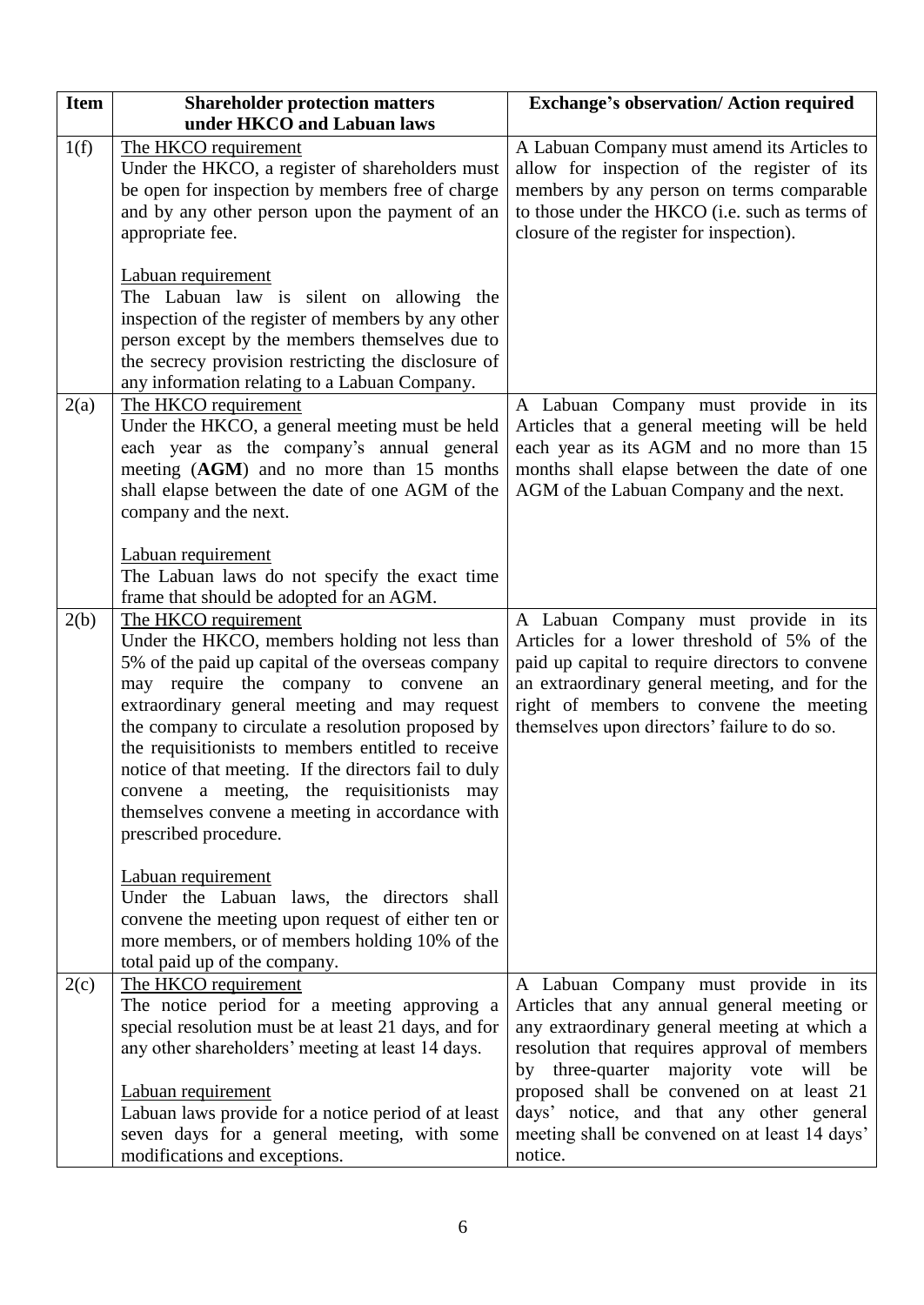| <b>Item</b> | <b>Shareholder protection matters</b>                                                                                                                                                                                                                                                                                                                                                                                                                                                                                                                                                   | <b>Exchange's observation/ Action required</b>                                                                                                                                                                                                                                                                                                                                         |
|-------------|-----------------------------------------------------------------------------------------------------------------------------------------------------------------------------------------------------------------------------------------------------------------------------------------------------------------------------------------------------------------------------------------------------------------------------------------------------------------------------------------------------------------------------------------------------------------------------------------|----------------------------------------------------------------------------------------------------------------------------------------------------------------------------------------------------------------------------------------------------------------------------------------------------------------------------------------------------------------------------------------|
|             | under HKCO and Labuan laws                                                                                                                                                                                                                                                                                                                                                                                                                                                                                                                                                              |                                                                                                                                                                                                                                                                                                                                                                                        |
| 1(f)        | The HKCO requirement<br>Under the HKCO, a register of shareholders must<br>be open for inspection by members free of charge<br>and by any other person upon the payment of an<br>appropriate fee.                                                                                                                                                                                                                                                                                                                                                                                       | A Labuan Company must amend its Articles to<br>allow for inspection of the register of its<br>members by any person on terms comparable<br>to those under the HKCO (i.e. such as terms of<br>closure of the register for inspection).                                                                                                                                                  |
|             | Labuan requirement<br>The Labuan law is silent on allowing the<br>inspection of the register of members by any other<br>person except by the members themselves due to<br>the secrecy provision restricting the disclosure of<br>any information relating to a Labuan Company.                                                                                                                                                                                                                                                                                                          |                                                                                                                                                                                                                                                                                                                                                                                        |
| 2(a)        | The HKCO requirement<br>Under the HKCO, a general meeting must be held<br>each year as the company's annual general<br>meeting (AGM) and no more than 15 months<br>shall elapse between the date of one AGM of the<br>company and the next.<br>Labuan requirement<br>The Labuan laws do not specify the exact time                                                                                                                                                                                                                                                                      | A Labuan Company must provide in its<br>Articles that a general meeting will be held<br>each year as its AGM and no more than 15<br>months shall elapse between the date of one<br>AGM of the Labuan Company and the next.                                                                                                                                                             |
| 2(b)        | frame that should be adopted for an AGM.<br>The HKCO requirement<br>Under the HKCO, members holding not less than<br>5% of the paid up capital of the overseas company<br>may require the company to convene<br>an<br>extraordinary general meeting and may request<br>the company to circulate a resolution proposed by<br>the requisitionists to members entitled to receive<br>notice of that meeting. If the directors fail to duly<br>convene a meeting, the requisitionists may<br>themselves convene a meeting in accordance with<br>prescribed procedure.<br>Labuan requirement | A Labuan Company must provide in its<br>Articles for a lower threshold of 5% of the<br>paid up capital to require directors to convene<br>an extraordinary general meeting, and for the<br>right of members to convene the meeting<br>themselves upon directors' failure to do so.                                                                                                     |
|             | Under the Labuan laws, the directors shall<br>convene the meeting upon request of either ten or<br>more members, or of members holding 10% of the<br>total paid up of the company.                                                                                                                                                                                                                                                                                                                                                                                                      |                                                                                                                                                                                                                                                                                                                                                                                        |
| 2(c)        | The HKCO requirement<br>The notice period for a meeting approving a<br>special resolution must be at least 21 days, and for<br>any other shareholders' meeting at least 14 days.<br>Labuan requirement<br>Labuan laws provide for a notice period of at least<br>seven days for a general meeting, with some<br>modifications and exceptions.                                                                                                                                                                                                                                           | A Labuan Company must provide in its<br>Articles that any annual general meeting or<br>any extraordinary general meeting at which a<br>resolution that requires approval of members<br>by three-quarter majority vote will<br>be<br>proposed shall be convened on at least 21<br>days' notice, and that any other general<br>meeting shall be convened on at least 14 days'<br>notice. |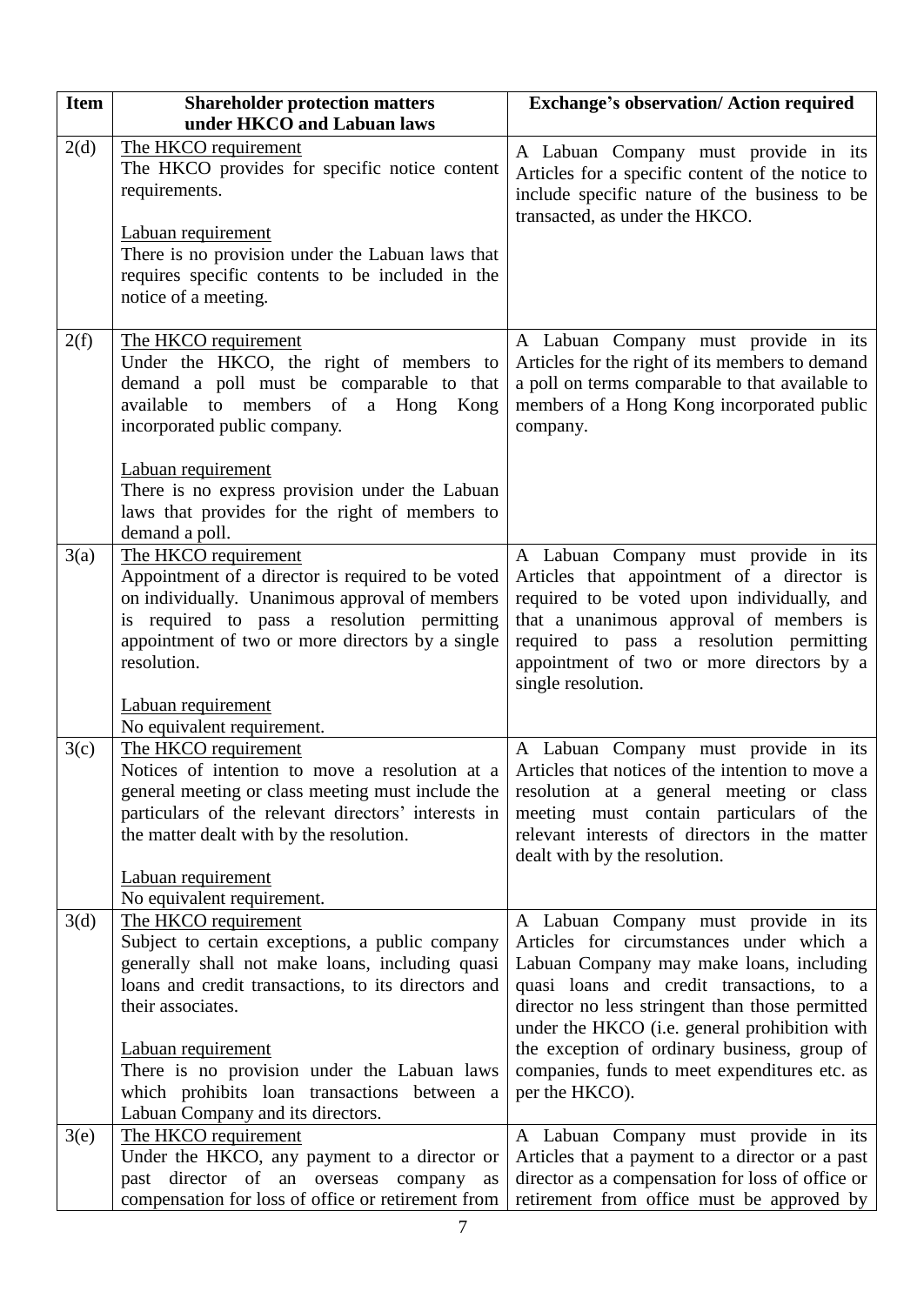| <b>Item</b> | <b>Shareholder protection matters</b><br>under HKCO and Labuan laws                                                                                                                                                                                                                                                                                             | <b>Exchange's observation/ Action required</b>                                                                                                                                                                                                                                                                                                                                                   |
|-------------|-----------------------------------------------------------------------------------------------------------------------------------------------------------------------------------------------------------------------------------------------------------------------------------------------------------------------------------------------------------------|--------------------------------------------------------------------------------------------------------------------------------------------------------------------------------------------------------------------------------------------------------------------------------------------------------------------------------------------------------------------------------------------------|
| 2(d)        | The HKCO requirement<br>The HKCO provides for specific notice content<br>requirements.<br>Labuan requirement<br>There is no provision under the Labuan laws that<br>requires specific contents to be included in the<br>notice of a meeting.                                                                                                                    | A Labuan Company must provide in its<br>Articles for a specific content of the notice to<br>include specific nature of the business to be<br>transacted, as under the HKCO.                                                                                                                                                                                                                      |
| 2(f)        | The HKCO requirement<br>Under the HKCO, the right of members to<br>demand a poll must be comparable to that<br>available to members of a Hong Kong<br>incorporated public company.<br>Labuan requirement<br>There is no express provision under the Labuan<br>laws that provides for the right of members to<br>demand a poll.                                  | A Labuan Company must provide in its<br>Articles for the right of its members to demand<br>a poll on terms comparable to that available to<br>members of a Hong Kong incorporated public<br>company.                                                                                                                                                                                             |
| 3(a)        | The HKCO requirement<br>Appointment of a director is required to be voted<br>on individually. Unanimous approval of members<br>required to pass a resolution permitting<br>is<br>appointment of two or more directors by a single<br>resolution.<br>Labuan requirement                                                                                          | A Labuan Company must provide in its<br>Articles that appointment of a director is<br>required to be voted upon individually, and<br>that a unanimous approval of members is<br>required to pass a resolution permitting<br>appointment of two or more directors by a<br>single resolution.                                                                                                      |
| 3(c)        | No equivalent requirement.<br>The HKCO requirement<br>Notices of intention to move a resolution at a<br>general meeting or class meeting must include the<br>particulars of the relevant directors' interests in<br>the matter dealt with by the resolution.<br>Labuan requirement<br>No equivalent requirement.                                                | A Labuan Company must provide in its<br>Articles that notices of the intention to move a<br>resolution at a general meeting or class<br>meeting must contain particulars of the<br>relevant interests of directors in the matter<br>dealt with by the resolution.                                                                                                                                |
| 3(d)        | The HKCO requirement<br>Subject to certain exceptions, a public company<br>generally shall not make loans, including quasi<br>loans and credit transactions, to its directors and<br>their associates.<br>Labuan requirement<br>There is no provision under the Labuan laws<br>which prohibits loan transactions between a<br>Labuan Company and its directors. | A Labuan Company must provide in its<br>Articles for circumstances under which a<br>Labuan Company may make loans, including<br>quasi loans and credit transactions, to a<br>director no less stringent than those permitted<br>under the HKCO (i.e. general prohibition with<br>the exception of ordinary business, group of<br>companies, funds to meet expenditures etc. as<br>per the HKCO). |
| 3(e)        | The HKCO requirement<br>Under the HKCO, any payment to a director or<br>past director of an overseas company as<br>compensation for loss of office or retirement from                                                                                                                                                                                           | A Labuan Company must provide in its<br>Articles that a payment to a director or a past<br>director as a compensation for loss of office or<br>retirement from office must be approved by                                                                                                                                                                                                        |